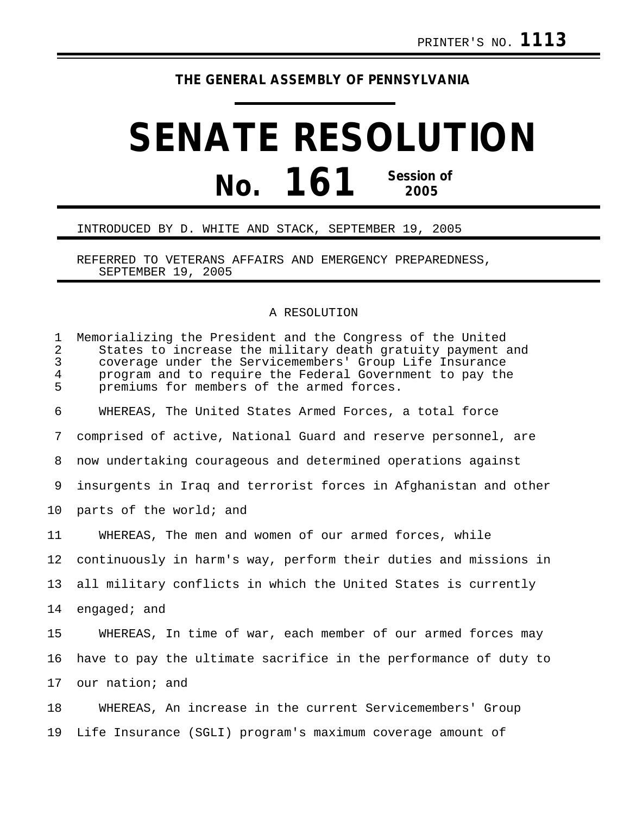## **THE GENERAL ASSEMBLY OF PENNSYLVANIA**

## **SENATE RESOLUTION No. 161 Session of 2005**

## INTRODUCED BY D. WHITE AND STACK, SEPTEMBER 19, 2005

REFERRED TO VETERANS AFFAIRS AND EMERGENCY PREPAREDNESS, SEPTEMBER 19, 2005

## A RESOLUTION

| $\mathbf 1$<br>$\overline{2}$<br>3<br>4<br>5 | Memorializing the President and the Congress of the United<br>States to increase the military death gratuity payment and<br>coverage under the Servicemembers' Group Life Insurance<br>program and to require the Federal Government to pay the<br>premiums for members of the armed forces. |
|----------------------------------------------|----------------------------------------------------------------------------------------------------------------------------------------------------------------------------------------------------------------------------------------------------------------------------------------------|
| 6                                            | WHEREAS, The United States Armed Forces, a total force                                                                                                                                                                                                                                       |
| 7                                            | comprised of active, National Guard and reserve personnel, are                                                                                                                                                                                                                               |
| 8                                            | now undertaking courageous and determined operations against                                                                                                                                                                                                                                 |
| 9                                            | insurgents in Iraq and terrorist forces in Afghanistan and other                                                                                                                                                                                                                             |
| 10                                           | parts of the world; and                                                                                                                                                                                                                                                                      |
| 11                                           | WHEREAS, The men and women of our armed forces, while                                                                                                                                                                                                                                        |
| 12                                           | continuously in harm's way, perform their duties and missions in                                                                                                                                                                                                                             |
| 13                                           | all military conflicts in which the United States is currently                                                                                                                                                                                                                               |
| 14                                           | engaged; and                                                                                                                                                                                                                                                                                 |
| 15                                           | WHEREAS, In time of war, each member of our armed forces may                                                                                                                                                                                                                                 |
| 16                                           | have to pay the ultimate sacrifice in the performance of duty to                                                                                                                                                                                                                             |
| 17                                           | our nation; and                                                                                                                                                                                                                                                                              |
| 18                                           | WHEREAS, An increase in the current Servicemembers' Group                                                                                                                                                                                                                                    |
| 19                                           | Life Insurance (SGLI) program's maximum coverage amount of                                                                                                                                                                                                                                   |